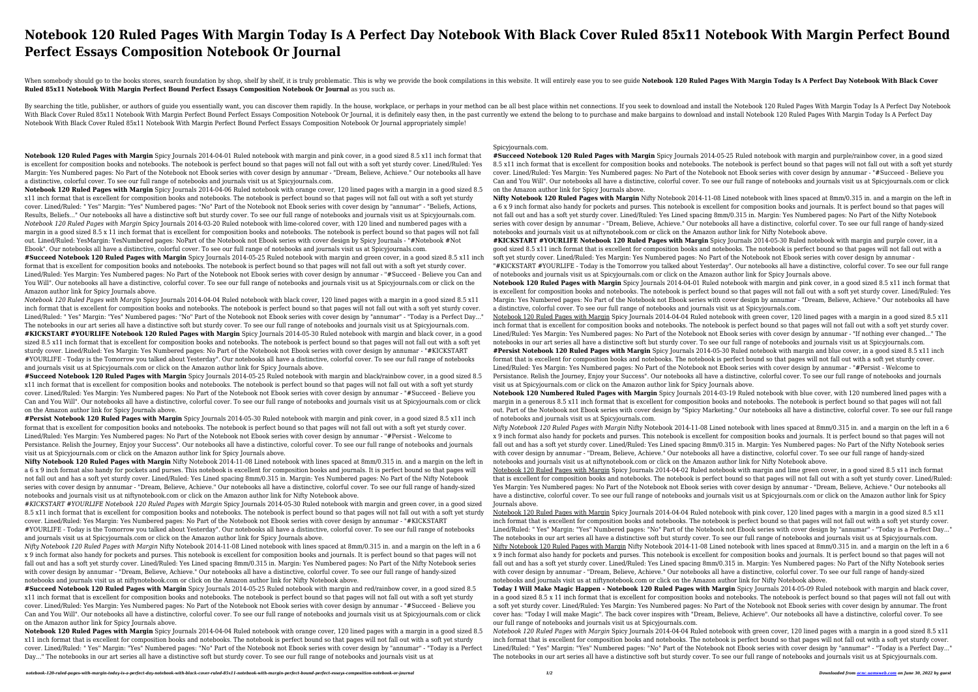## **Notebook 120 Ruled Pages With Margin Today Is A Perfect Day Notebook With Black Cover Ruled 85x11 Notebook With Margin Perfect Bound Perfect Essays Composition Notebook Or Journal**

When somebody should go to the books stores, search foundation by shop, shelf by shelf, it is truly problematic. This is why we provide the book compilations in this website. It will entirely ease you to see guide Notebook **Ruled 85x11 Notebook With Margin Perfect Bound Perfect Essays Composition Notebook Or Journal** as you such as.

By searching the title, publisher, or authors of guide you essentially want, you can discover them rapidly. In the house, workplace, or perhaps in your method can be all best place within net connections. If you seek to do With Black Cover Ruled 85x11 Notebook With Margin Perfect Bound Perfect Essays Composition Notebook Or Journal, it is definitely easy then, in the past currently we extend the belong to to purchase and make bargains to dow Notebook With Black Cover Ruled 85x11 Notebook With Margin Perfect Bound Perfect Essays Composition Notebook Or Journal appropriately simple!

**Notebook 120 Ruled Pages with Margin** Spicy Journals 2014-04-01 Ruled notebook with margin and pink cover, in a good sized 8.5 x11 inch format that is excellent for composition books and notebooks. The notebook is perfect bound so that pages will not fall out with a soft yet sturdy cover. Lined/Ruled: Yes Margin: Yes Numbered pages: No Part of the Notebook not Ebook series with cover design by annumar - "Dream, Believe, Achieve." Our notebooks all have a distinctive, colorful cover. To see our full range of notebooks and journals visit us at Spicyjournals.com.

**Notebook 120 Ruled Pages with Margin** Spicy Journals 2014-04-06 Ruled notebook with orange cover, 120 lined pages with a margin in a good sized 8.5 x11 inch format that is excellent for composition books and notebooks. The notebook is perfect bound so that pages will not fall out with a soft yet sturdy cover. Lined/Ruled: " Yes" Margin: "Yes" Numbered pages: "No" Part of the Notebook not Ebook series with cover design by "annumar" - "Beliefs, Actions, Results, Beliefs..." Our notebooks all have a distinctive soft but sturdy cover. To see our full range of notebooks and journals visit us at Spicyjournals.com. *Notebook 120 Ruled Pages with Margin* Spicy Journals 2014-03-20 Ruled notebook with lime-colored cover, with 120 lined and numbered pages with a margin in a good sized 8.5 x 11 inch format that is excellent for composition books and notebooks. The notebook is perfect bound so that pages will not fall out. Lined/Ruled: YesMargin: YesNumbered pages: NoPart of the Notebook not Ebook series with cover design by Spicy Journals - "#Notebook #Not Ebook". Our notebooks all have a distinctive, colorful cover. To see our full range of notebooks and journals visit us at Spicyjournals.com.

**#Succeed Notebook 120 Ruled Pages with Margin** Spicy Journals 2014-05-25 Ruled notebook with margin and green cover, in a good sized 8.5 x11 inch format that is excellent for composition books and notebooks. The notebook is perfect bound so that pages will not fall out with a soft yet sturdy cover. Lined/Ruled: Yes Margin: Yes Numbered pages: No Part of the Notebook not Ebook series with cover design by annumar - "#Succeed - Believe you Can and You Will". Our notebooks all have a distinctive, colorful cover. To see our full range of notebooks and journals visit us at Spicyjournals.com or click on the Amazon author link for Spicy Journals above.

*Notebook 120 Ruled Pages with Margin* Spicy Journals 2014-04-04 Ruled notebook with black cover, 120 lined pages with a margin in a good sized 8.5 x11 inch format that is excellent for composition books and notebooks. The notebook is perfect bound so that pages will not fall out with a soft yet sturdy cover. Lined/Ruled: " Yes" Margin: "Yes" Numbered pages: "No" Part of the Notebook not Ebook series with cover design by "annumar" - "Today is a Perfect Day..." The notebooks in our art series all have a distinctive soft but sturdy cover. To see our full range of notebooks and journals visit us at Spicyjournals.com.

**#KICKSTART #YOURLIFE Notebook 120 Ruled Pages with Margin** Spicy Journals 2014-05-30 Ruled notebook with margin and black cover, in a good sized 8.5 x11 inch format that is excellent for composition books and notebooks. The notebook is perfect bound so that pages will not fall out with a soft yet sturdy cover. Lined/Ruled: Yes Margin: Yes Numbered pages: No Part of the Notebook not Ebook series with cover design by annumar - "#KICKSTART #YOURLIFE - Today is the Tomorrow you talked about Yesterday". Our notebooks all have a distinctive, colorful cover. To see our full range of notebooks and journals visit us at Spicyjournals.com or click on the Amazon author link for Spicy Journals above.

**#Succeed Notebook 120 Ruled Pages with Margin** Spicy Journals 2014-05-25 Ruled notebook with margin and black/rainbow cover, in a good sized 8.5 x11 inch format that is excellent for composition books and notebooks. The notebook is perfect bound so that pages will not fall out with a soft yet sturdy cover. Lined/Ruled: Yes Margin: Yes Numbered pages: No Part of the Notebook not Ebook series with cover design by annumar - "#Succeed - Believe you Can and You Will". Our notebooks all have a distinctive, colorful cover. To see our full range of notebooks and journals visit us at Spicyjournals.com or click on the Amazon author link for Spicy Journals above.

**#Persist Notebook 120 Ruled Pages with Margin** Spicy Journals 2014-05-30 Ruled notebook with margin and pink cover, in a good sized 8.5 x11 inch format that is excellent for composition books and notebooks. The notebook is perfect bound so that pages will not fall out with a soft yet sturdy cover. Lined/Ruled: Yes Margin: Yes Numbered pages: No Part of the Notebook not Ebook series with cover design by annumar - "#Persist - Welcome to Persistance. Relish the Journey, Enjoy your Success". Our notebooks all have a distinctive, colorful cover. To see our full range of notebooks and journals visit us at Spicyjournals.com or click on the Amazon author link for Spicy Journals above.

**Nifty Notebook 120 Ruled Pages with Margin** Nifty Notebook 2014-11-08 Lined notebook with lines spaced at 8mm/0.315 in. and a margin on the left in a 6 x 9 inch format also handy for pockets and purses. This notebook is excellent for composition books and journals. It is perfect bound so that pages will not fall out and has a soft yet sturdy cover. Lined/Ruled: Yes Lined spacing 8mm/0.315 in. Margin: Yes Numbered pages: No Part of the Nifty Notebook series with cover design by annumar - "Dream, Believe, Achieve." Our notebooks all have a distinctive, colorful cover. To see our full range of handy-sized notebooks and journals visit us at niftynotebook.com or click on the Amazon author link for Nifty Notebook above.

*#KICKSTART #YOURLIFE Notebook 120 Ruled Pages with Margin* Spicy Journals 2014-05-30 Ruled notebook with margin and green cover, in a good sized 8.5 x11 inch format that is excellent for composition books and notebooks. The notebook is perfect bound so that pages will not fall out with a soft yet sturdy cover. Lined/Ruled: Yes Margin: Yes Numbered pages: No Part of the Notebook not Ebook series with cover design by annumar - "#KICKSTART #YOURLIFE - Today is the Tomorrow you talked about Yesterday". Our notebooks all have a distinctive, colorful cover. To see our full range of notebooks and journals visit us at Spicyjournals.com or click on the Amazon author link for Spicy Journals above.

*Nifty Notebook 120 Ruled Pages with Margin* Nifty Notebook 2014-11-08 Lined notebook with lines spaced at 8mm/0.315 in. and a margin on the left in a 6 x 9 inch format also handy for pockets and purses. This notebook is excellent for composition books and journals. It is perfect bound so that pages will not fall out and has a soft yet sturdy cover. Lined/Ruled: Yes Lined spacing 8mm/0.315 in. Margin: Yes Numbered pages: No Part of the Nifty Notebook series with cover design by annumar - "Dream, Believe, Achieve." Our notebooks all have a distinctive, colorful cover. To see our full range of handy-sized notebooks and journals visit us at niftynotebook.com or click on the Amazon author link for Nifty Notebook above.

**#Succeed Notebook 120 Ruled Pages with Margin** Spicy Journals 2014-05-25 Ruled notebook with margin and red/rainbow cover, in a good sized 8.5 x11 inch format that is excellent for composition books and notebooks. The notebook is perfect bound so that pages will not fall out with a soft yet sturdy cover. Lined/Ruled: Yes Margin: Yes Numbered pages: No Part of the Notebook not Ebook series with cover design by annumar - "#Succeed - Believe you Can and You Will". Our notebooks all have a distinctive, colorful cover. To see our full range of notebooks and journals visit us at Spicyjournals.com or click on the Amazon author link for Spicy Journals above.

**Notebook 120 Ruled Pages with Margin** Spicy Journals 2014-04-04 Ruled notebook with orange cover, 120 lined pages with a margin in a good sized 8.5 x11 inch format that is excellent for composition books and notebooks. The notebook is perfect bound so that pages will not fall out with a soft yet sturdy cover. Lined/Ruled: " Yes" Margin: "Yes" Numbered pages: "No" Part of the Notebook not Ebook series with cover design by "annumar" - "Today is a Perfect Day..." The notebooks in our art series all have a distinctive soft but sturdy cover. To see our full range of notebooks and journals visit us at

Spicyjournals.com.

**#Succeed Notebook 120 Ruled Pages with Margin** Spicy Journals 2014-05-25 Ruled notebook with margin and purple/rainbow cover, in a good sized 8.5 x11 inch format that is excellent for composition books and notebooks. The notebook is perfect bound so that pages will not fall out with a soft yet sturdy cover. Lined/Ruled: Yes Margin: Yes Numbered pages: No Part of the Notebook not Ebook series with cover design by annumar - "#Succeed - Believe you Can and You Will". Our notebooks all have a distinctive, colorful cover. To see our full range of notebooks and journals visit us at Spicyjournals.com or click on the Amazon author link for Spicy Journals above.

**Nifty Notebook 120 Ruled Pages with Margin** Nifty Notebook 2014-11-08 Lined notebook with lines spaced at 8mm/0.315 in. and a margin on the left in a 6 x 9 inch format also handy for pockets and purses. This notebook is excellent for composition books and journals. It is perfect bound so that pages will not fall out and has a soft yet sturdy cover. Lined/Ruled: Yes Lined spacing 8mm/0.315 in. Margin: Yes Numbered pages: No Part of the Nifty Notebook series with cover design by annumar - "Dream, Believe, Achieve." Our notebooks all have a distinctive, colorful cover. To see our full range of handy-sized notebooks and journals visit us at niftynotebook.com or click on the Amazon author link for Nifty Notebook above.

**#KICKSTART #YOURLIFE Notebook 120 Ruled Pages with Margin** Spicy Journals 2014-05-30 Ruled notebook with margin and purple cover, in a good sized 8.5 x11 inch format that is excellent for composition books and notebooks. The notebook is perfect bound so that pages will not fall out with a soft yet sturdy cover. Lined/Ruled: Yes Margin: Yes Numbered pages: No Part of the Notebook not Ebook series with cover design by annumar -

"#KICKSTART #YOURLIFE - Today is the Tomorrow you talked about Yesterday". Our notebooks all have a distinctive, colorful cover. To see our full range of notebooks and journals visit us at Spicyjournals.com or click on the Amazon author link for Spicy Journals above.

**Notebook 120 Ruled Pages with Margin** Spicy Journals 2014-04-01 Ruled notebook with margin and pink cover, in a good sized 8.5 x11 inch format that is excellent for composition books and notebooks. The notebook is perfect bound so that pages will not fall out with a soft yet sturdy cover. Lined/Ruled: Yes Margin: Yes Numbered pages: No Part of the Notebook not Ebook series with cover design by annumar - "Dream, Believe, Achieve." Our notebooks all have a distinctive, colorful cover. To see our full range of notebooks and journals visit us at Spicyjournals.com.

Notebook 120 Ruled Pages with Margin Spicy Journals 2014-04-04 Ruled notebook with green cover, 120 lined pages with a margin in a good sized 8.5 x11 inch format that is excellent for composition books and notebooks. The notebook is perfect bound so that pages will not fall out with a soft yet sturdy cover. Lined/Ruled: Yes Margin: Yes Numbered pages: No Part of the Notebook not Ebook series with cover design by annumar - "If nothing ever changed..." The notebooks in our art series all have a distinctive soft but sturdy cover. To see our full range of notebooks and journals visit us at Spicyjournals.com.

**#Persist Notebook 120 Ruled Pages with Margin** Spicy Journals 2014-05-30 Ruled notebook with margin and blue cover, in a good sized 8.5 x11 inch format that is excellent for composition books and notebooks. The notebook is perfect bound so that pages will not fall out with a soft yet sturdy cover. Lined/Ruled: Yes Margin: Yes Numbered pages: No Part of the Notebook not Ebook series with cover design by annumar - "#Persist - Welcome to Persistance. Relish the Journey, Enjoy your Success". Our notebooks all have a distinctive, colorful cover. To see our full range of notebooks and journals visit us at Spicyjournals.com or click on the Amazon author link for Spicy Journals above.

**Notebook 120 Numbered Ruled Pages with Margin** Spicy Journals 2014-03-19 Ruled notebook with blue cover, with 120 numbered lined pages with a margin in a generous 8.5 x11 inch format that is excellent for composition books and notebooks. The notebook is perfect bound so that pages will not fall out. Part of the Notebook not Ebook series with cover design by "Spicy Marketing." Our notebooks all have a distinctive, colorful cover. To see our full range of notebooks and journals visit us at Spicyjournals.com.

*Nifty Notebook 120 Ruled Pages with Margin* Nifty Notebook 2014-11-08 Lined notebook with lines spaced at 8mm/0.315 in. and a margin on the left in a 6 x 9 inch format also handy for pockets and purses. This notebook is excellent for composition books and journals. It is perfect bound so that pages will not fall out and has a soft yet sturdy cover. Lined/Ruled: Yes Lined spacing 8mm/0.315 in. Margin: Yes Numbered pages: No Part of the Nifty Notebook series with cover design by annumar - "Dream, Believe, Achieve." Our notebooks all have a distinctive, colorful cover. To see our full range of handy-sized notebooks and journals visit us at niftynotebook.com or click on the Amazon author link for Nifty Notebook above.

Notebook 120 Ruled Pages with Margin Spicy Journals 2014-04-02 Ruled notebook with margin and lime green cover, in a good sized 8.5 x11 inch format that is excellent for composition books and notebooks. The notebook is perfect bound so that pages will not fall out with a soft yet sturdy cover. Lined/Ruled: Yes Margin: Yes Numbered pages: No Part of the Notebook not Ebook series with cover design by annumar - "Dream, Believe, Achieve." Our notebooks all have a distinctive, colorful cover. To see our full range of notebooks and journals visit us at Spicyjournals.com or click on the Amazon author link for Spicy

Journals above.

Notebook 120 Ruled Pages with Margin Spicy Journals 2014-04-04 Ruled notebook with pink cover, 120 lined pages with a margin in a good sized 8.5 x11 inch format that is excellent for composition books and notebooks. The notebook is perfect bound so that pages will not fall out with a soft yet sturdy cover Lined/Ruled: " Yes" Margin: "Yes" Numbered pages: "No" Part of the Notebook not Ebook series with cover design by "annumar" - "Today is a Perfect Day..." The notebooks in our art series all have a distinctive soft but sturdy cover. To see our full range of notebooks and journals visit us at Spicyjournals.com. Nifty Notebook 120 Ruled Pages with Margin Nifty Notebook 2014-11-08 Lined notebook with lines spaced at 8mm/0.315 in. and a margin on the left in a 6 x 9 inch format also handy for pockets and purses. This notebook is excellent for composition books and journals. It is perfect bound so that pages will not fall out and has a soft yet sturdy cover. Lined/Ruled: Yes Lined spacing 8mm/0.315 in. Margin: Yes Numbered pages: No Part of the Nifty Notebook series with cover design by annumar - "Dream, Believe, Achieve." Our notebooks all have a distinctive, colorful cover. To see our full range of handy-sized notebooks and journals visit us at niftynotebook.com or click on the Amazon author link for Nifty Notebook above.

**Today I Will Make Magic Happen - Notebook 120 Ruled Pages with Margin** Spicy Journals 2014-05-09 Ruled notebook with margin and black cover, in a good sized 8.5 x 11 inch format that is excellent for composition books and notebooks. The notebook is perfect bound so that pages will not fall out with a soft yet sturdy cover. Lined/Ruled: Yes Margin: Yes Numbered pages: No Part of the Notebook not Ebook series with cover design by annumar. The front cover has: "Today I will make Magic". The back cover inspires with "Dream, Believe, Achieve". Our notebooks all have a distinctive, colorful cover. To see our full range of notebooks and journals visit us at Spicyjournals.com.

*Notebook 120 Ruled Pages with Margin* Spicy Journals 2014-04-04 Ruled notebook with green cover, 120 lined pages with a margin in a good sized 8.5 x11 inch format that is excellent for composition books and notebooks. The notebook is perfect bound so that pages will not fall out with a soft yet sturdy cover. Lined/Ruled: " Yes" Margin: "Yes" Numbered pages: "No" Part of the Notebook not Ebook series with cover design by "annumar" - "Today is a Perfect Day..." The notebooks in our art series all have a distinctive soft but sturdy cover. To see our full range of notebooks and journals visit us at Spicyjournals.com.